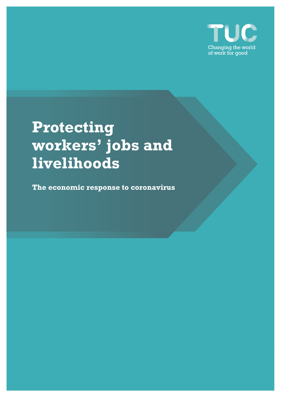

# **Protecting workers' jobs and livelihoods**

**The economic response to coronavirus**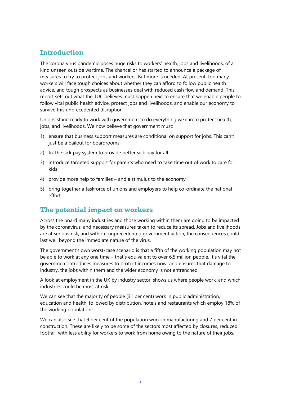## **Introduction**

The corona virus pandemic poses huge risks to workers' health, jobs and livelihoods, of a kind unseen outside wartime. The chancellor has started to announce a package of measures to try to protect jobs and workers. But more is needed. At present, too many workers will face tough choices about whether they can afford to follow public health advice, and tough prospects as businesses deal with reduced cash flow and demand. This report sets out what the TUC believes must happen next to ensure that we enable people to follow vital public health advice, protect jobs and livelihoods, and enable our economy to survive this unprecedented disruption.

Unions stand ready to work with government to do everything we can to protect health, jobs, and livelihoods. We now believe that government must:

- 1) ensure that business support measures are conditional on support for jobs. This can't just be a bailout for boardrooms.
- 2) fix the sick pay system to provide better sick pay for all.
- 3) introduce targeted support for parents who need to take time out of work to care for kids
- 4) provide more help to families and a stimulus to the economy
- 5) bring together a taskforce of unions and employers to help co-ordinate the national effort.

## **The potential impact on workers**

Across the board many industries and those working within them are going to be impacted by the coronavirus, and necessary measures taken to reduce its spread. Jobs and livelihoods are at serious risk, and without unprecedented government action, the consequences could last well beyond the immediate nature of the virus.

The government's own worst-case scenario is that a fifth of the working population may not be able to work at any one time – that's equivalent to over 6.5 million people. It's vital the government introduces measures to protect incomes now and ensures that damage to industry, the jobs within them and the wider economy is not entrenched.

A look at employment in the UK by industry sector, shows us where people work, and which industries could be most at risk.

We can see that the majority of people (31 per cent) work in public administration, education and health, followed by distribution, hotels and restaurants which employ 18% of the working population.

We can also see that 9 per cent of the population work in manufacturing and 7 per cent in construction. These are likely to be some of the sectors most affected by closures, reduced footfall, with less ability for workers to work from home owing to the nature of their jobs.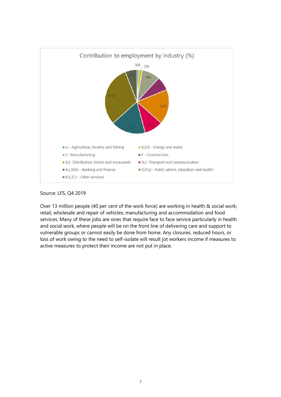

Source: LFS, Q4 2019

Over 13 million people (40 per cent of the work force) are working in health & social work; retail, wholesale and repair of vehicles; manufacturing and accommodation and food services. Many of these jobs are ones that require face to face service particularly in health and social work, where people will be on the front line of delivering care and support to vulnerable groups or cannot easily be done from home. Any closures, reduced hours, or loss of work owing to the need to self-isolate will result jot workers income if measures to active measures to protect their income are not put in place.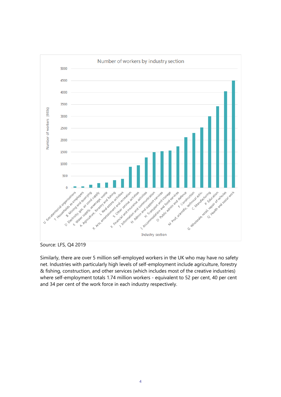

Source: LFS, Q4 2019

Similarly, there are over 5 million self-employed workers in the UK who may have no safety net. Industries with particularly high levels of self-employment include agriculture, forestry & fishing, construction, and other services (which includes most of the creative industries) where self-employment totals 1.74 million workers - equivalent to 52 per cent, 40 per cent and 34 per cent of the work force in each industry respectively.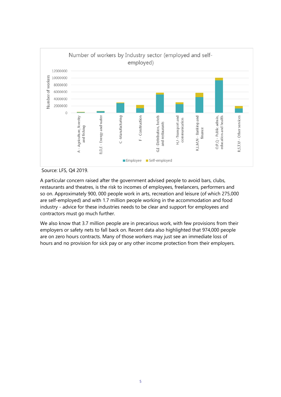

Source: LFS, Q4 2019.

A particular concern raised after the government advised people to avoid bars, clubs, restaurants and theatres, is the risk to incomes of employees, freelancers, performers and so on. Approximately 900, 000 people work in arts, recreation and leisure (of which 275,000 are self-employed) and with 1.7 million people working in the accommodation and food industry - advice for these industries needs to be clear and support for employees and contractors must go much further.

We also know that 3.7 million people are in precarious work, with few provisions from their employers or safety nets to fall back on. Recent data also highlighted that 974,000 people are on zero hours contracts. Many of those workers may just see an immediate loss of hours and no provision for sick pay or any other income protection from their employers.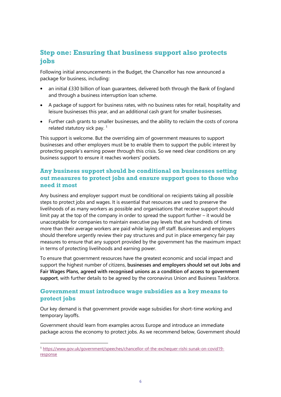# **Step one: Ensuring that business support also protects jobs**

Following initial announcements in the Budget, the Chancellor has now announced a package for business, including:

- an initial £330 billion of loan guarantees, delivered both through the Bank of England and through a business interruption loan scheme.
- A package of support for business rates, with no business rates for retail, hospitality and leisure businesses this year, and an additional cash grant for smaller businesses.
- Further cash grants to smaller businesses, and the ability to reclaim the costs of corona related statutory sick pay.  $1$

This support is welcome. But the overriding aim of government measures to support businesses and other employers must be to enable them to support the public interest by protecting people's earning power through this crisis. So we need clear conditions on any business support to ensure it reaches workers' pockets.

## **Any business support should be conditional on businesses setting out measures to protect jobs and ensure support goes to those who need it most**

Any business and employer support must be conditional on recipients taking all possible steps to protect jobs and wages. It is essential that resources are used to preserve the livelihoods of as many workers as possible and organisations that receive support should limit pay at the top of the company in order to spread the support further – it would be unacceptable for companies to maintain executive pay levels that are hundreds of times more than their average workers are paid while laying off staff. Businesses and employers should therefore urgently review their pay structures and put in place emergency fair pay measures to ensure that any support provided by the government has the maximum impact in terms of protecting livelihoods and earning power.

To ensure that government resources have the greatest economic and social impact and support the highest number of citizens, **businesses and employers should set out Jobs and Fair Wages Plans, agreed with recognised unions as a condition of access to government support**, with further details to be agreed by the coronavirus Union and Business Taskforce.

## **Government must introduce wage subsidies as a key means to protect jobs**

Our key demand is that government provide wage subsidies for short-time working and temporary layoffs.

Government should learn from examples across Europe and introduce an immediate package across the economy to protect jobs. As we recommend below, Government should

<sup>1</sup> [https://www.gov.uk/government/speeches/chancellor-of-the-exchequer-rishi-sunak-on-covid19](https://www.gov.uk/government/speeches/chancellor-of-the-exchequer-rishi-sunak-on-covid19-response) [response](https://www.gov.uk/government/speeches/chancellor-of-the-exchequer-rishi-sunak-on-covid19-response)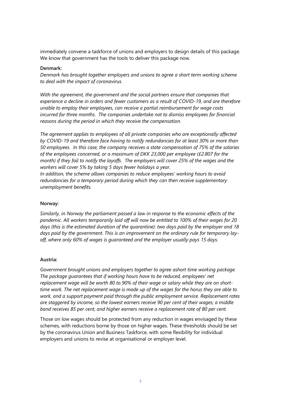immediately convene a taskforce of unions and employers to design details of this package. We know that government has the tools to deliver this package now.

#### **Denmark:**

*Denmark has brought together employers and unions to agree a short term working scheme to deal with the impact of coronavirus.*

*With the agreement, the government and the social partners ensure that companies that experience a decline in orders and fewer customers as a result of COVID-19, and are therefore unable to employ their employees, can receive a partial reimbursement for wage costs incurred for three months. The companies undertake not to dismiss employees for financial reasons during the period in which they receive the compensation.*

*The agreement applies to employees of all private companies who are exceptionally affected by COVID-19 and therefore face having to notify redundancies for at least 30% or more than 50 employees. In this case, the company receives a state compensation of 75% of the salaries of the employees concerned, or a maximum of DKK 23,000 per employee (£2.807 for the month) if they fail to notify the layoffs. The employers will cover 25% of the wages and the workers will cover 5% by taking 5 days fewer holidays a year.* 

*In addition, the scheme allows companies to reduce employees' working hours to avoid redundancies for a temporary period during which they can then receive supplementary unemployment benefits.* 

#### **Norway:**

*Similarly, in Norway the parliament passed a law in response to the economic effects of the pandemic. All workers temporarily laid off will now be entitled to 100% of their wages for 20 days (this is the estimated duration of the quarantine): two days paid by the employer and 18 days paid by the government. This is an improvement on the ordinary rule for temporary layoff, where only 60% of wages is guaranteed and the employer usually pays 15 days.*

#### **Austria:**

*Government brought unions and employers together to agree ashort time working package. The package guarantees that if working hours have to be reduced, employees' net replacement wage will be worth 80 to 90% of their wage or salary while they are on shorttime work. The net replacement wage is made up of the wages for the horus they are able to work, and a support payment paid through the public employment service. Replacement rates are staggered by income, so the lowest earners receive 90 per cent of their wages; a middle band receives 85 per cent, and higher earners receive a replacement rate of 80 per cent.* 

Those on low wages should be protected from any reduction in wages envisaged by these schemes, with reductions borne by those on higher wages. These thresholds should be set by the coronavirus Union and Business Taskforce, with some flexibility for individual employers and unions to revise at organisational or employer level.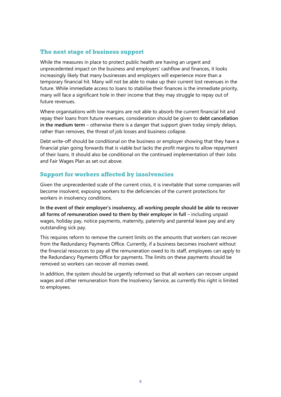#### **The next stage of business support**

While the measures in place to protect public health are having an urgent and unprecedented impact on the business and employers' cashflow and finances, it looks increasingly likely that many businesses and employers will experience more than a temporary financial hit. Many will not be able to make up their current lost revenues in the future. While immediate access to loans to stabilise their finances is the immediate priority, many will face a significant hole in their income that they may struggle to repay out of future revenues.

Where organisations with low margins are not able to absorb the current financial hit and repay their loans from future revenues, consideration should be given to **debt cancellation in the medium term** – otherwise there is a danger that support given today simply delays, rather than removes, the threat of job losses and business collapse.

Debt write-off should be conditional on the business or employer showing that they have a financial plan going forwards that is viable but lacks the profit margins to allow repayment of their loans. It should also be conditional on the continued implementation of their Jobs and Fair Wages Plan as set out above.

#### **Support for workers affected by insolvencies**

Given the unprecedented scale of the current crisis, it is inevitable that some companies will become insolvent, exposing workers to the deficiencies of the current protections for workers in insolvency conditions.

**In the event of their employer's insolvency, all working people should be able to recover all forms of remuneration owed to them by their employer in full** – including unpaid wages, holiday pay, notice payments, maternity, paternity and parental leave pay and any outstanding sick pay.

This requires reform to remove the current limits on the amounts that workers can recover from the Redundancy Payments Office. Currently, if a business becomes insolvent without the financial resources to pay all the remuneration owed to its staff, employees can apply to the Redundancy Payments Office for payments. The limits on these payments should be removed so workers can recover all monies owed.

In addition, the system should be urgently reformed so that all workers can recover unpaid wages and other remuneration from the Insolvency Service, as currently this right is limited to employees.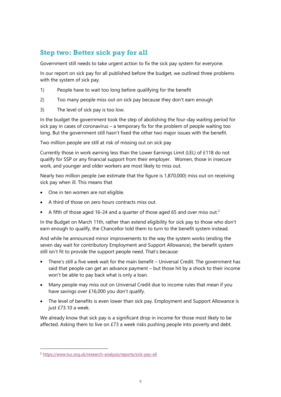## **Step two: Better sick pay for all**

Government still needs to take urgent action to fix the sick pay system for everyone.

In our report on sick pay for all published before the budget, we outlined three problems with the system of sick pay.

- 1) People have to wait too long before qualifying for the benefit
- 2) Too many people miss out on sick pay because they don't earn enough
- 3) The level of sick pay is too low.

In the budget the government took the step of abolishing the four-day waiting period for sick pay in cases of coronavirus – a temporary fix for the problem of people waiting too long. But the government still hasn't fixed the other two major issues with the benefit.

Two million people are still at risk of missing out on sick pay

Currently those in work earning less than the Lower Earnings Limit (LEL) of £118 do not qualify for SSP or any financial support from their employer. Women, those in insecure work, and younger and older workers are most likely to miss out.

Nearly two million people (we estimate that the figure is 1,870,000) miss out on receiving sick pay when ill. This means that

- One in ten women are not eligible.
- A third of those on zero hours contracts miss out.
- A fifth of those aged 16-24 and a quarter of those aged 65 and over miss out.<sup>2</sup>

In the Budget on March 11th, rather than extend eligibility for sick pay to those who don't earn enough to qualify, the Chancellor told them to turn to the benefit system instead.

And while he announced minor improvements to the way the system works (ending the seven day wait for contributory Employment and Support Allowance), the benefit system still isn't fit to provide the support people need. That's because:

- There's still a five week wait for the main benefit Universal Credit. The government has said that people can get an advance payment – but those hit by a shock to their income won't be able to pay back what is only a loan.
- Many people may miss out on Universal Credit due to income rules that mean if you have savings over £16,000 you don't qualify.
- The level of benefits is even lower than sick pay. Employment and Support Allowance is just £73.10 a week.

We already know that sick pay is a significant drop in income for those most likely to be affected. Asking them to live on £73 a week risks pushing people into poverty and debt.

<sup>2</sup> <https://www.tuc.org.uk/research-analysis/reports/sick-pay-all>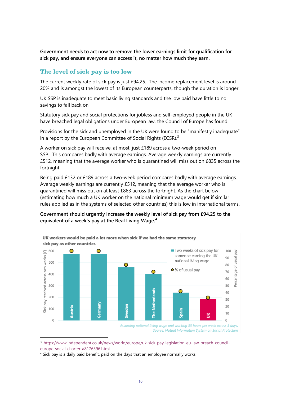**Government needs to act now to remove the lower earnings limit for qualification for sick pay, and ensure everyone can access it, no matter how much they earn.**

### **The level of sick pay is too low**

The current weekly rate of sick pay is just £94.25. The income replacement level is around 20% and is amongst the lowest of its European counterparts, though the duration is longer.

UK SSP is inadequate to meet basic living standards and the low paid have little to no savings to fall back on

Statutory sick pay and social protections for jobless and self-employed people in the UK have breached legal obligations under European law, the Council of Europe has found.

Provisions for the sick and unemployed in the UK were found to be "manifestly inadequate" in a report by the European Committee of Social Rights (ECSR). $3$ 

A worker on sick pay will receive, at most, just £189 across a two-week period on SSP. This compares badly with average earnings. Average weekly earnings are currently £512, meaning that the average worker who is quarantined will miss out on £835 across the fortnight.

Being paid £132 or £189 across a two-week period compares badly with average earnings. Average weekly earnings are currently £512, meaning that the average worker who is quarantined will miss out on at least £863 across the fortnight. As the chart below (estimating how much a UK worker on the national minimum wage would get if similar rules applied as in the systems of selected other countries) this is low in international terms.

#### **Government should urgently increase the weekly level of sick pay from £94.25 to the equivalent of a week's pay at the Real Living Wage.<sup>4</sup>**



UK workers would be paid a lot more when sick if we had the same statutory sick pay as other countries

Source: Mutual Information System on Social Protection

<sup>3</sup> [https://www.independent.co.uk/news/world/europe/uk-sick-pay-legislation-eu-law-breach-council](https://www.independent.co.uk/news/world/europe/uk-sick-pay-legislation-eu-law-breach-council-europe-social-charter-a8176396.html)[europe-social-charter-a8176396.html](https://www.independent.co.uk/news/world/europe/uk-sick-pay-legislation-eu-law-breach-council-europe-social-charter-a8176396.html)

<sup>4</sup> Sick pay is a daily paid benefit, paid on the days that an employee normally works.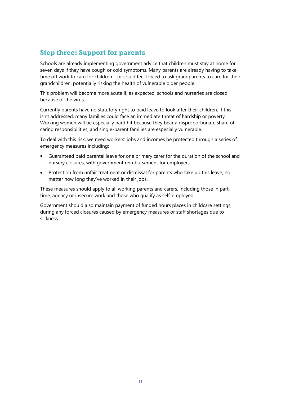# **Step three: Support for parents**

Schools are already implementing government advice that children must stay at home for seven days if they have cough or cold symptoms. Many parents are already having to take time off work to care for children – or could feel forced to ask grandparents to care for their grandchildren, potentially risking the health of vulnerable older people.

This problem will become more acute if, as expected, schools and nurseries are closed because of the virus.

Currently parents have no statutory right to paid leave to look after their children. If this isn't addressed, many families could face an immediate threat of hardship or poverty. Working women will be especially hard hit because they bear a disproportionate share of caring responsibilities, and single-parent families are especially vulnerable.

To deal with this risk, we need workers' jobs and incomes be protected through a series of emergency measures including:

- Guaranteed paid parental leave for one primary carer for the duration of the school and nursery closures, with government reimbursement for employers.
- Protection from unfair treatment or dismissal for parents who take up this leave, no matter how long they've worked in their jobs.

These measures should apply to all working parents and carers, including those in parttime, agency or insecure work and those who qualify as self-employed.

Government should also maintain payment of funded hours places in childcare settings, during any forced closures caused by emergency measures or staff shortages due to sickness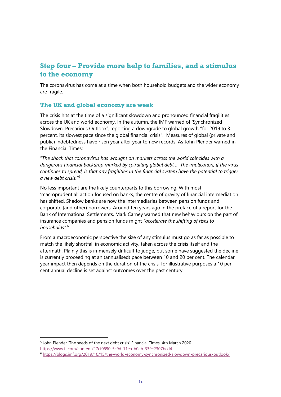# **Step four – Provide more help to families, and a stimulus to the economy**

The coronavirus has come at a time when both household budgets and the wider economy are fragile.

## **The UK and global economy are weak**

The crisis hits at the time of a significant slowdown and pronounced financial fragilities across the UK and world economy. In the autumn, the IMF warned of 'Synchronized Slowdown, Precarious Outlook', reporting a downgrade to global growth "for 2019 to 3 percent, its slowest pace since the global financial crisis". Measures of global (private and public) indebtedness have risen year after year to new records. As John Plender warned in the Financial Times:

"*The shock that coronavirus has wrought on markets across the world coincides with a dangerous financial backdrop marked by spiralling global debt … The implication, if the virus continues to spread, is that any fragilities in the financial system have the potential to trigger a new debt crisis."<sup>5</sup>*

No less important are the likely counterparts to this borrowing. With most 'macroprudential' action focused on banks, the centre of gravity of financial intermediation has shifted. Shadow banks are now the intermediaries between pension funds and corporate (and other) borrowers. Around ten years ago in the preface of a report for the Bank of International Settlements, Mark Carney warned that new behaviours on the part of insurance companies and pension funds might *"accelerate the shifting of risks to households".<sup>6</sup>*

From a macroeconomic perspective the size of any stimulus must go as far as possible to match the likely shortfall in economic activity, taken across the crisis itself and the aftermath. Plainly this is immensely difficult to judge, but some have suggested the decline is currently proceeding at an (annualised) pace between 10 and 20 per cent. The calendar year impact then depends on the duration of the crisis, for illustrative purposes a 10 per cent annual decline is set against outcomes over the past century.

5 John Plender 'The seeds of the next debt crisis' Financial Times, 4th March 2020 <https://www.ft.com/content/27cf0690-5c9d-11ea-b0ab-339c2307bcd4> <sup>6</sup> <https://blogs.imf.org/2019/10/15/the-world-economy-synchronized-slowdown-precarious-outlook/>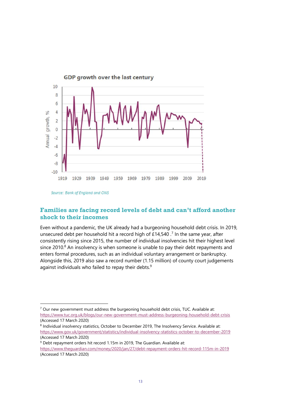

Source: Bank of England and ONS

## **Families are facing record levels of debt and can't afford another shock to their incomes**

Even without a pandemic, the UK already had a burgeoning household debt crisis. In 2019, unsecured debt per household hit a record high of £14,540  $\cdot$ <sup>7</sup> In the same year, after consistently rising since 2015, the number of individual insolvencies hit their highest level since 2010. $8$  An insolvency is when someone is unable to pay their debt repayments and enters formal procedures, such as an individual voluntary arrangement or bankruptcy. Alongside this, 2019 also saw a record number (1.15 million) of county court judgements against individuals who failed to repay their debts.<sup>9</sup>

<sup>9</sup> Debt repayment orders hit record 1.15m in 2019, The Guardian. Available at:

<sup>&</sup>lt;sup>7</sup> Our new government must address the burgeoning household debt crisis, TUC. Available at: <https://www.tuc.org.uk/blogs/our-new-government-must-address-burgeoning-household-debt-crisis> (Accessed 17 March 2020)

<sup>&</sup>lt;sup>8</sup> Individual insolvency statistics, October to December 2019, The Insolvency Service. Available at: <https://www.gov.uk/government/statistics/individual-insolvency-statistics-october-to-december-2019> (Accessed 17 March 2020)

<https://www.theguardian.com/money/2020/jan/27/debt-repayment-orders-hit-record-115m-in-2019> (Accessed 17 March 2020)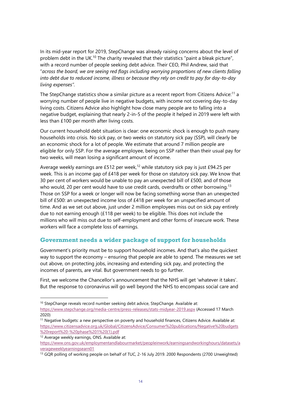In its mid-year report for 2019, StepChange was already raising concerns about the level of problem debt in the UK.<sup>10</sup> The charity revealed that their statistics "paint a bleak picture", with a record number of people seeking debt advice. Their CEO, Phil Andrew, said that "*across the board, we are seeing red flags including worrying proportions of new clients falling into debt due to reduced income, illness or because they rely on credit to pay for day-to-day living expenses".*

The StepChange statistics show a similar picture as a recent report from Citizens Advice:<sup>11</sup> a worrying number of people live in negative budgets, with income not covering day-to-day living costs. Citizens Advice also highlight how close many people are to falling into a negative budget, explaining that nearly 2-in-5 of the people it helped in 2019 were left with less than £100 per month after living costs.

Our current household debt situation is clear: one economic shock is enough to push many households into crisis. No sick pay, or two weeks on statutory sick pay (SSP), will clearly be an economic shock for a lot of people. We estimate that around 7 million people are eligible for only SSP. For the average employee, being on SSP rather than their usual pay for two weeks, will mean losing a significant amount of income.

Average weekly earnings are £512 per week,<sup>12</sup> while statutory sick pay is just £94.25 per week. This is an income gap of £418 per week for those on statutory sick pay. We know that 30 per cent of workers would be unable to pay an unexpected bill of £500, and of those who would, 20 per cent would have to use credit cards, overdrafts or other borrowing.<sup>13</sup> Those on SSP for a week or longer will now be facing something worse than an unexpected bill of £500: an unexpected income loss of £418 per week for an unspecified amount of time. And as we set out above, just under 2 million employees miss out on sick pay entirely due to not earning enough (£118 per week) to be eligible. This does not include the millions who will miss out due to self-employment and other forms of insecure work. These workers will face a complete loss of earnings.

## **Government needs a wider package of support for households**

Government's priority must be to support household incomes. And that's also the quickest way to support the economy – ensuring that people are able to spend. The measures we set out above, on protecting jobs, increasing and extending sick pay, and protecting the incomes of parents, are vital. But government needs to go further.

First, we welcome the Chancellor's announcement that the NHS will get 'whatever it takes'. But the response to coronavirus will go well beyond the NHS to encompass social care and

<sup>&</sup>lt;sup>10</sup> StepChange reveals record number seeking debt advice, StepChange. Available at: <https://www.stepchange.org/media-centre/press-releases/stats-midyear-2019.aspx> (Accessed 17 March 2020)

<sup>&</sup>lt;sup>11</sup> Negative budgets: a new perspective on poverty and household finances, Citizens Advice. Available at: [https://www.citizensadvice.org.uk/Global/CitizensAdvice/Consumer%20publications/Negative%20budgets](https://www.citizensadvice.org.uk/Global/CitizensAdvice/Consumer%20publications/Negative%20budgets%20report%20-%20phase%201%20(1).pdf) [%20report%20-%20phase%201%20\(1\).pdf](https://www.citizensadvice.org.uk/Global/CitizensAdvice/Consumer%20publications/Negative%20budgets%20report%20-%20phase%201%20(1).pdf)

<sup>&</sup>lt;sup>12</sup> Average weekly earnings, ONS. Available at: [https://www.ons.gov.uk/employmentandlabourmarket/peopleinwork/earningsandworkinghours/datasets/a](https://www.ons.gov.uk/employmentandlabourmarket/peopleinwork/earningsandworkinghours/datasets/averageweeklyearningsearn01) [verageweeklyearningsearn01](https://www.ons.gov.uk/employmentandlabourmarket/peopleinwork/earningsandworkinghours/datasets/averageweeklyearningsearn01)

<sup>&</sup>lt;sup>13</sup> GQR polling of working people on behalf of TUC, 2-16 July 2019. 2000 Respondents (2700 Unweighted)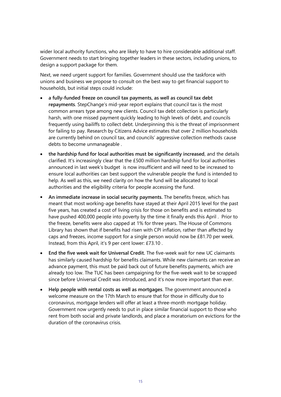wider local authority functions, who are likely to have to hire considerable additional staff. Government needs to start bringing together leaders in these sectors, including unions, to design a support package for them.

Next, we need urgent support for families. Government should use the taskforce with unions and business we propose to consult on the best way to get financial support to households, but initial steps could include:

- **a fully-funded freeze on council tax payments, as well as council tax debt repayments**. StepChange's mid-year report explains that council tax is the most common arrears type among new clients. Council tax debt collection is particularly harsh, with one missed payment quickly leading to high levels of debt, and councils frequently using bailiffs to collect debt. Underpinning this is the threat of imprisonment for failing to pay. Research by Citizens Advice estimates that over 2 million households are currently behind on council tax, and councils' aggressive collection methods cause debts to become unmanageable .
- **the hardship fund for local authorities must be significantly increased**, and the details clarified. It's increasingly clear that the £500 million hardship fund for local authorities announced in last week's budget is now insufficient and will need to be increased to ensure local authorities can best support the vulnerable people the fund is intended to help. As well as this, we need clarity on how the fund will be allocated to local authorities and the eligibility criteria for people accessing the fund.
- **An immediate increase in social security payments.** The benefits freeze, which has meant that most working-age benefits have stayed at their April 2015 level for the past five years, has created a cost of living crisis for those on benefits and is estimated to have pushed 400,000 people into poverty by the time it finally ends this April . Prior to the freeze, benefits were also capped at 1% for three years. The House of Commons Library has shown that if benefits had risen with CPI inflation, rather than affected by caps and freezes, income support for a single person would now be £81.70 per week. Instead, from this April, it's 9 per cent lower: £73.10 .
- **End the five week wait for Universal Credit.** The five-week wait for new UC claimants has similarly caused hardship for benefits claimants. While new claimants can receive an advance payment, this must be paid back out of future benefits payments, which are already too low. The TUC has been campaigning for the five-week wait to be scrapped since before Universal Credit was introduced, and it's now more important than ever.
- **Help people with rental costs as well as mortgages**. The government announced a welcome measure on the 17th March to ensure that for those in difficulty due to coronavirus, mortgage lenders will offer at least a three-month mortgage holiday. Government now urgently needs to put in place similar financial support to those who rent from both social and private landlords, and place a moratorium on evictions for the duration of the coronavirus crisis.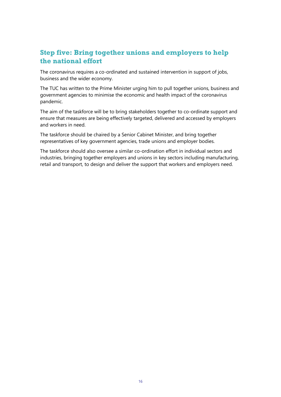# **Step five: Bring together unions and employers to help the national effort**

The coronavirus requires a co-ordinated and sustained intervention in support of jobs, business and the wider economy.

The TUC has written to the Prime Minister urging him to pull together unions, business and government agencies to minimise the economic and health impact of the coronavirus pandemic.

The aim of the taskforce will be to bring stakeholders together to co-ordinate support and ensure that measures are being effectively targeted, delivered and accessed by employers and workers in need.

The taskforce should be chaired by a Senior Cabinet Minister, and bring together representatives of key government agencies, trade unions and employer bodies.

The taskforce should also oversee a similar co-ordination effort in individual sectors and industries, bringing together employers and unions in key sectors including manufacturing, retail and transport, to design and deliver the support that workers and employers need.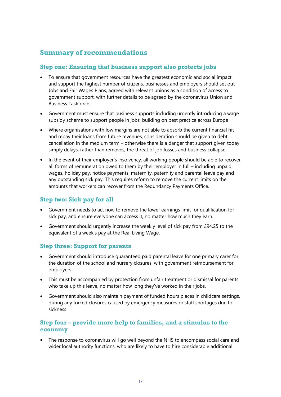# **Summary of recommendations**

## **Step one: Ensuring that business support also protects jobs**

- To ensure that government resources have the greatest economic and social impact and support the highest number of citizens, businesses and employers should set out Jobs and Fair Wages Plans, agreed with relevant unions as a condition of access to government support, with further details to be agreed by the coronavirus Union and Business Taskforce.
- Government must ensure that business supports including urgently introducing a wage subsidy scheme to support people in jobs, building on best practice across Europe
- Where organisations with low margins are not able to absorb the current financial hit and repay their loans from future revenues, consideration should be given to debt cancellation in the medium term – otherwise there is a danger that support given today simply delays, rather than removes, the threat of job losses and business collapse.
- In the event of their employer's insolvency, all working people should be able to recover all forms of remuneration owed to them by their employer in full – including unpaid wages, holiday pay, notice payments, maternity, paternity and parental leave pay and any outstanding sick pay. This requires reform to remove the current limits on the amounts that workers can recover from the Redundancy Payments Office.

## **Step two: Sick pay for all**

- Government needs to act now to remove the lower earnings limit for qualification for sick pay, and ensure everyone can access it, no matter how much they earn.
- Government should urgently increase the weekly level of sick pay from £94.25 to the equivalent of a week's pay at the Real Living Wage.

## **Step three: Support for parents**

- Government should introduce guaranteed paid parental leave for one primary carer for the duration of the school and nursery closures, with government reimbursement for employers.
- This must be accompanied by protection from unfair treatment or dismissal for parents who take up this leave, no matter how long they've worked in their jobs.
- Government should also maintain payment of funded hours places in childcare settings, during any forced closures caused by emergency measures or staff shortages due to sickness

## **Step four – provide more help to families, and a stimulus to the economy**

• The response to coronavirus will go well beyond the NHS to encompass social care and wider local authority functions, who are likely to have to hire considerable additional